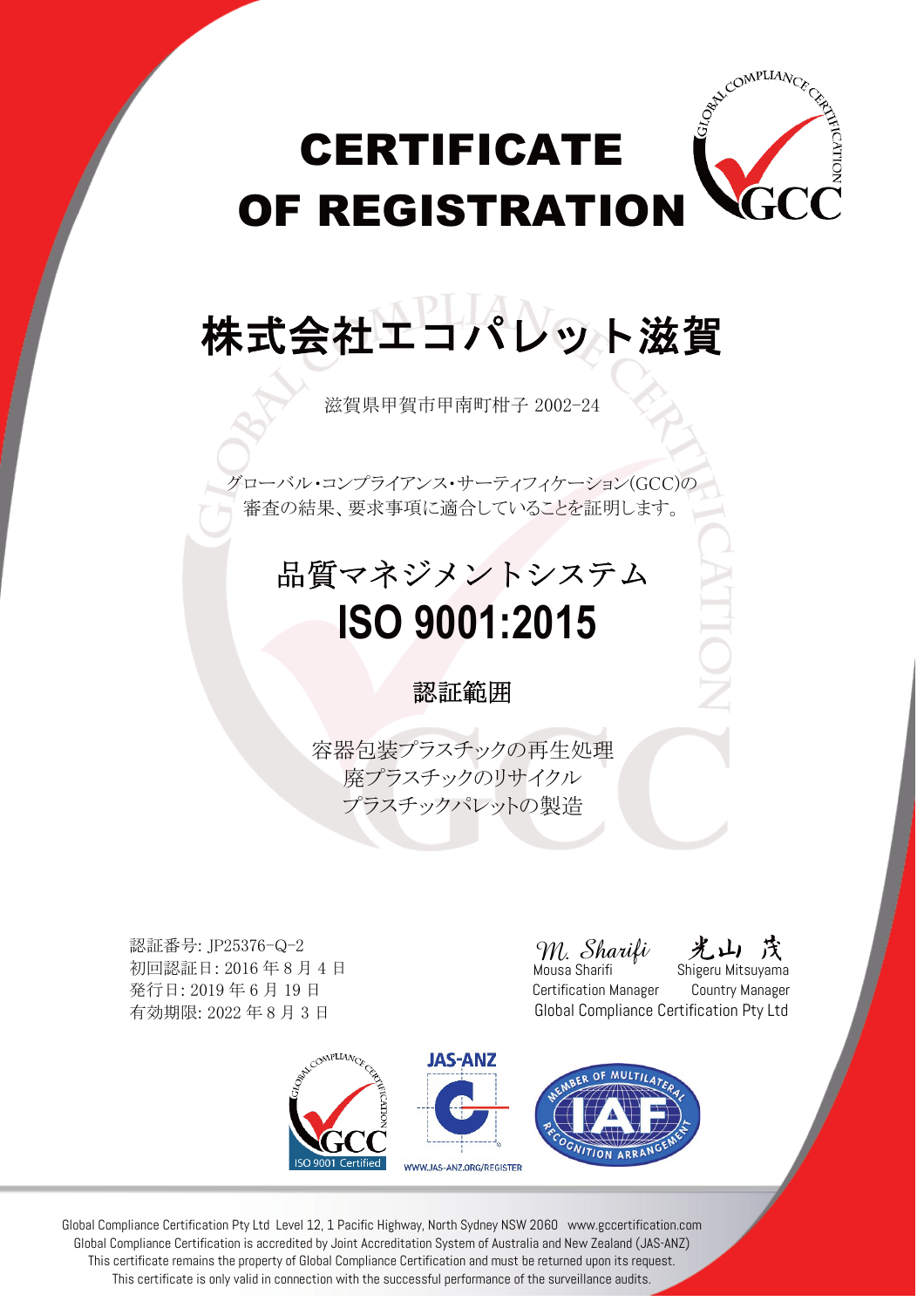

株式会社エコパレット滋賀

滋賀県甲賀市甲南町柑子 2002-24

グローバル・コンプライアンス・サーティフィケーション(GCC)の 審査の結果、要求事項に適合していることを証明します。

### 品質マネジメントシステム  **ISO 9001:2015**

#### 認証範囲

容器包装プラスチックの再生処理 廃プラスチックのリサイクル プラスチックパレットの製造

認証番号: JP25376-Q-2 初回認証日: 2016 年 8 月 4 日 発行日: 2019 年 6 月 19 日 有効期限: 2022 年 8 月 3 日

M. Sharifi

ATIC

Mousa Sharifi  $\overline{\hspace{1cm}}$  Shigeru Mitsuyama Certification Manager Country Manager Global Compliance Certification Pty Ltd



Global Compliance Certification Pty Ltd Level 12, 1 Pacific Highway, North Sydney NSW 2060 www.gccertification.com Global Compliance Certification is accredited by Joint Accreditation System of Australia and New Zealand (JAS-ANZ) This certificate remains the property of Global Compliance Certification and must be returned upon its request. This certificate is only valid in connection with the successful performance of the surveillance audits.